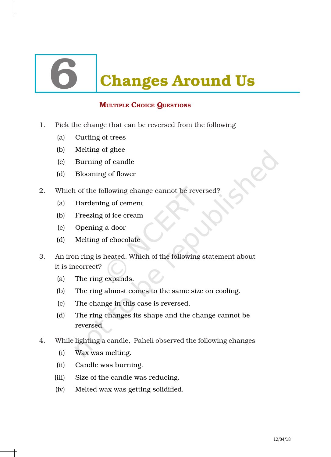# **Changes Around Us**

## MULTIPLE CHOICE QUESTIONS

- 1. Pick the change that can be reversed from the following
	- (a) Cutting of trees
	- (b) Melting of ghee
	- (c) Burning of candle
	- (d) Blooming of flower
- 2. Which of the following change cannot be reversed?
	- (a) Hardening of cement
	- (b) Freezing of ice cream
	- (c) Opening a door
	- (d) Melting of chocolate
- 3. An iron ring is heated. Which of the following statement about it is incorrect?
	- (a) The ring expands.
	- (b) The ring almost comes to the same size on cooling.
	- (c) The change in this case is reversed.
	- (d) The ring changes its shape and the change cannot be reversed.
- 4. While lighting a candle, Paheli observed the following changes
	- (i) Wax was melting.
	- (ii) Candle was burning.
	- (iii) Size of the candle was reducing.
	- (iv) Melted wax was getting solidified.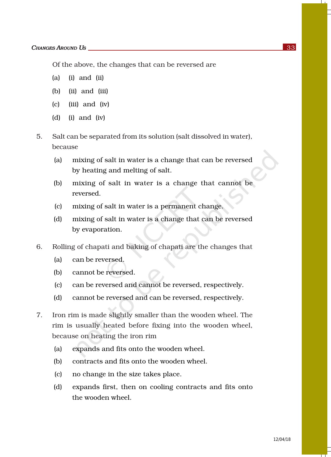Of the above, the changes that can be reversed are

- (a) (i) and (ii)
- (b) (ii) and (iii)
- (c) (iii) and (iv)
- (d) (i) and (iv)
- 5. Salt can be separated from its solution (salt dissolved in water), because
	- (a) mixing of salt in water is a change that can be reversed by heating and melting of salt.
	- (b) mixing of salt in water is a change that cannot be reversed.
	- (c) mixing of salt in water is a permanent change.
	- (d) mixing of salt in water is a change that can be reversed by evaporation.
- 6. Rolling of chapati and baking of chapati are the changes that
	- (a) can be reversed.
	- (b) cannot be reversed.
	- (c) can be reversed and cannot be reversed, respectively.
	- (d) cannot be reversed and can be reversed, respectively.
- 7. Iron rim is made slightly smaller than the wooden wheel. The rim is usually heated before fixing into the wooden wheel, because on heating the iron rim
	- (a) expands and fits onto the wooden wheel.
	- (b) contracts and fits onto the wooden wheel.
	- (c) no change in the size takes place.
	- (d) expands first, then on cooling contracts and fits onto the wooden wheel.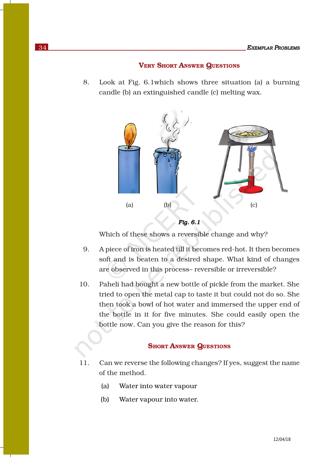#### VERY SHORT ANSWER QUESTIONS

8. Look at Fig. 6.1which shows three situation (a) a burning candle (b) an extinguished candle (c) melting wax.



```
Fig. 6.1
```
Which of these shows a reversible change and why?

- 9. A piece of iron is heated till it becomes red-hot. It then becomes soft and is beaten to a desired shape. What kind of changes are observed in this process– reversible or irreversible?
- 10. Paheli had bought a new bottle of pickle from the market. She tried to open the metal cap to taste it but could not do so. She then took a bowl of hot water and immersed the upper end of the bottle in it for five minutes. She could easily open the bottle now. Can you give the reason for this?

#### **SHORT ANSWER QUESTIONS**

- 11. Can we reverse the following changes? If yes, suggest the name of the method.
	- (a) Water into water vapour
	- (b) Water vapour into water.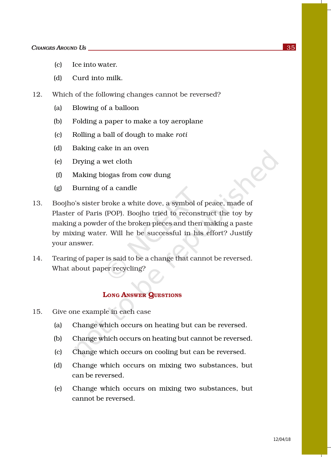- (c) Ice into water.
- (d) Curd into milk.
- 12. Which of the following changes cannot be reversed?
	- (a) Blowing of a balloon
	- (b) Folding a paper to make a toy aeroplane
	- (c) Rolling a ball of dough to make *roti*
	- (d) Baking cake in an oven
	- (e) Drying a wet cloth
	- (f) Making biogas from cow dung
	- (g) Burning of a candle
- 13. Boojho's sister broke a white dove, a symbol of peace, made of Plaster of Paris (POP). Boojho tried to reconstruct the toy by making a powder of the broken pieces and then making a paste by mixing water. Will he be successful in his effort? Justify your answer.
- 14. Tearing of paper is said to be a change that cannot be reversed. What about paper recycling?

### LONG ANSWER QUESTIONS

- 15. Give one example in each case
	- (a) Change which occurs on heating but can be reversed.
	- (b) Change which occurs on heating but cannot be reversed.
	- (c) Change which occurs on cooling but can be reversed.
	- (d) Change which occurs on mixing two substances, but can be reversed.
	- (e) Change which occurs on mixing two substances, but cannot be reversed.